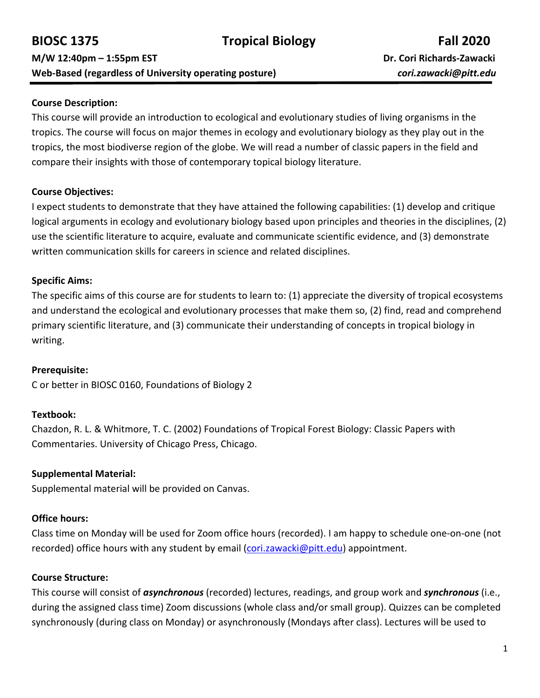#### **Course Description:**

This course will provide an introduction to ecological and evolutionary studies of living organisms in the tropics. The course will focus on major themes in ecology and evolutionary biology as they play out in the tropics, the most biodiverse region of the globe. We will read a number of classic papers in the field and compare their insights with those of contemporary topical biology literature.

#### **Course Objectives:**

I expect students to demonstrate that they have attained the following capabilities: (1) develop and critique logical arguments in ecology and evolutionary biology based upon principles and theories in the disciplines, (2) use the scientific literature to acquire, evaluate and communicate scientific evidence, and (3) demonstrate written communication skills for careers in science and related disciplines.

### **Specific Aims:**

The specific aims of this course are for students to learn to: (1) appreciate the diversity of tropical ecosystems and understand the ecological and evolutionary processes that make them so, (2) find, read and comprehend primary scientific literature, and (3) communicate their understanding of concepts in tropical biology in writing.

#### **Prerequisite:**

C or better in BIOSC 0160, Foundations of Biology 2

### **Textbook:**

Chazdon, R. L. & Whitmore, T. C. (2002) Foundations of Tropical Forest Biology: Classic Papers with Commentaries. University of Chicago Press, Chicago.

#### **Supplemental Material:**

Supplemental material will be provided on Canvas.

### **Office hours:**

Class time on Monday will be used for Zoom office hours (recorded). I am happy to schedule one-on-one (not recorded) office hours with any student by email [\(cori.zawacki@pitt.edu\)](mailto:cori.zawacki@pitt.edu) appointment.

### **Course Structure:**

This course will consist of *asynchronous* (recorded) lectures, readings, and group work and *synchronous* (i.e., during the assigned class time) Zoom discussions (whole class and/or small group). Quizzes can be completed synchronously (during class on Monday) or asynchronously (Mondays after class). Lectures will be used to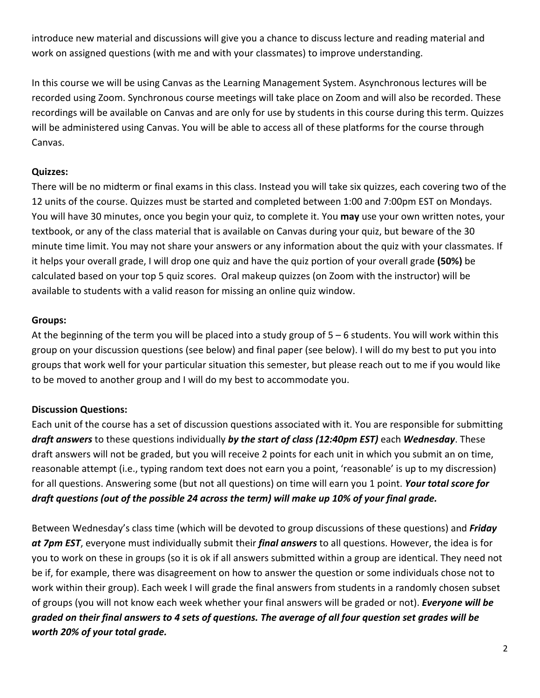introduce new material and discussions will give you a chance to discuss lecture and reading material and work on assigned questions (with me and with your classmates) to improve understanding.

In this course we will be using Canvas as the Learning Management System. Asynchronous lectures will be recorded using Zoom. Synchronous course meetings will take place on Zoom and will also be recorded. These recordings will be available on Canvas and are only for use by students in this course during this term. Quizzes will be administered using Canvas. You will be able to access all of these platforms for the course through Canvas.

# **Quizzes:**

There will be no midterm or final exams in this class. Instead you will take six quizzes, each covering two of the 12 units of the course. Quizzes must be started and completed between 1:00 and 7:00pm EST on Mondays. You will have 30 minutes, once you begin your quiz, to complete it. You **may** use your own written notes, your textbook, or any of the class material that is available on Canvas during your quiz, but beware of the 30 minute time limit. You may not share your answers or any information about the quiz with your classmates. If it helps your overall grade, I will drop one quiz and have the quiz portion of your overall grade **(50%)** be calculated based on your top 5 quiz scores. Oral makeup quizzes (on Zoom with the instructor) will be available to students with a valid reason for missing an online quiz window.

### **Groups:**

At the beginning of the term you will be placed into a study group of 5 – 6 students. You will work within this group on your discussion questions (see below) and final paper (see below). I will do my best to put you into groups that work well for your particular situation this semester, but please reach out to me if you would like to be moved to another group and I will do my best to accommodate you.

# **Discussion Questions:**

Each unit of the course has a set of discussion questions associated with it. You are responsible for submitting *draft answers* to these questions individually *by the start of class (12:40pm EST)* each *Wednesday*. These draft answers will not be graded, but you will receive 2 points for each unit in which you submit an on time, reasonable attempt (i.e., typing random text does not earn you a point, 'reasonable' is up to my discression) for all questions. Answering some (but not all questions) on time will earn you 1 point. *Your total score for draft questions (out of the possible 24 across the term) will make up 10% of your final grade.*

Between Wednesday's class time (which will be devoted to group discussions of these questions) and *Friday at 7pm EST*, everyone must individually submit their *final answers* to all questions. However, the idea is for you to work on these in groups (so it is ok if all answers submitted within a group are identical. They need not be if, for example, there was disagreement on how to answer the question or some individuals chose not to work within their group). Each week I will grade the final answers from students in a randomly chosen subset of groups (you will not know each week whether your final answers will be graded or not). *Everyone will be graded on their final answers to 4 sets of questions. The average of all four question set grades will be worth 20% of your total grade.*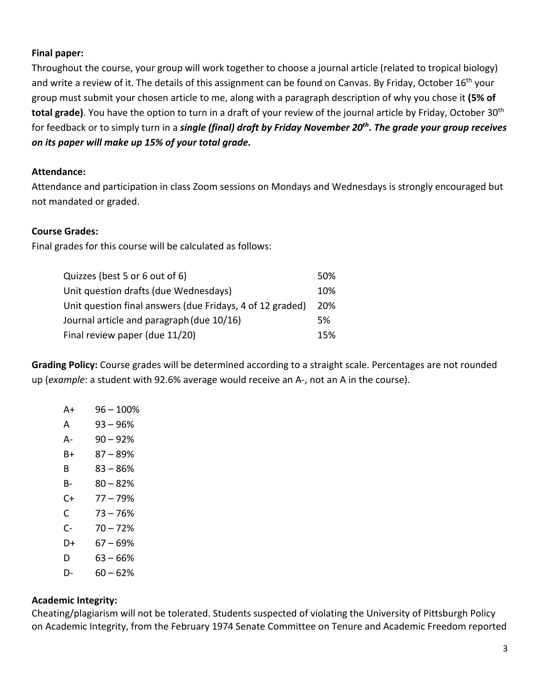### **Final paper:**

Throughout the course, your group will work together to choose a journal article (related to tropical biology) and write a review of it. The details of this assignment can be found on Canvas. By Friday, October 16<sup>th</sup> your group must submit your chosen article to me, along with a paragraph description of why you chose it **(5% of**  total grade). You have the option to turn in a draft of your review of the journal article by Friday, October 30<sup>th</sup> for feedback or to simply turn in a *single (final) draft by Friday November 20th. The grade your group receives on its paper will make up 15% of your total grade.*

### **Attendance:**

Attendance and participation in class Zoom sessions on Mondays and Wednesdays is strongly encouraged but not mandated or graded.

#### **Course Grades:**

Final grades for this course will be calculated as follows:

| Quizzes (best 5 or 6 out of 6)                            |            |  |  |  |  |  |  |
|-----------------------------------------------------------|------------|--|--|--|--|--|--|
| Unit question drafts (due Wednesdays)                     | 10%        |  |  |  |  |  |  |
| Unit question final answers (due Fridays, 4 of 12 graded) | <b>20%</b> |  |  |  |  |  |  |
| Journal article and paragraph (due 10/16)                 | .5%        |  |  |  |  |  |  |
| Final review paper (due 11/20)                            | 15%        |  |  |  |  |  |  |

**Grading Policy:** Course grades will be determined according to a straight scale. Percentages are not rounded up (*example*: a student with 92.6% average would receive an A-, not an A in the course).

| A+ | $96 - 100%$ |
|----|-------------|
| А  | 93 – 96%    |
| А- | $90 - 92%$  |
| B+ | 87 – 89%    |
| R  | 83 – 86%    |
| B- | $80 - 82%$  |
| C+ | $77 - 79%$  |
| C  | $73 - 76%$  |
| C- | $70 - 72%$  |
| D+ | 67 – 69%    |
| D  | 63 – 66%    |
| D- | 60 – 62%    |

#### **Academic Integrity:**

Cheating/plagiarism will not be tolerated. Students suspected of violating the University of Pittsburgh Policy on Academic Integrity, from the February 1974 Senate Committee on Tenure and Academic Freedom reported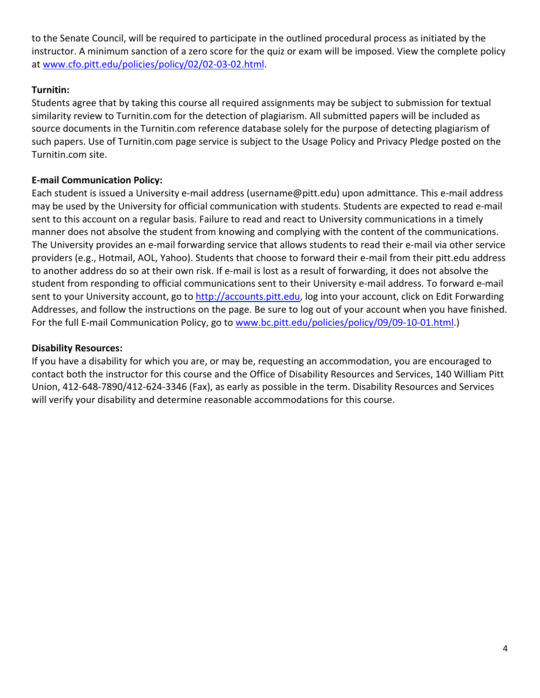to the Senate Council, will be required to participate in the outlined procedural process as initiated by the instructor. A minimum sanction of a zero score for the quiz or exam will be imposed. View the complete policy at [www.cfo.pitt.edu/policies/policy/02/02-03-02.html.](http://www.cfo.pitt.edu/policies/policy/02/02-03-02.html)

# **Turnitin:**

Students agree that by taking this course all required assignments may be subject to submission for textual similarity review to Turnitin.com for the detection of plagiarism. All submitted papers will be included as source documents in the Turnitin.com reference database solely for the purpose of detecting plagiarism of such papers. Use of Turnitin.com page service is subject to the Usage Policy and Privacy Pledge posted on the Turnitin.com site.

# **E-mail Communication Policy:**

Each student is issued a University e-mail address (username@pitt.edu) upon admittance. This e-mail address may be used by the University for official communication with students. Students are expected to read e-mail sent to this account on a regular basis. Failure to read and react to University communications in a timely manner does not absolve the student from knowing and complying with the content of the communications. The University provides an e-mail forwarding service that allows students to read their e-mail via other service providers (e.g., Hotmail, AOL, Yahoo). Students that choose to forward their e-mail from their pitt.edu address to another address do so at their own risk. If e-mail is lost as a result of forwarding, it does not absolve the student from responding to official communications sent to their University e-mail address. To forward e-mail sent to your University account, go to [http://accounts.pitt.edu,](http://accounts.pitt.edu/) log into your account, click on Edit Forwarding Addresses, and follow the instructions on the page. Be sure to log out of your account when you have finished. For the full E-mail Communication Policy, go to [www.bc.pitt.edu/policies/policy/09/09-10-01.html.](http://www.bc.pitt.edu/policies/policy/09/09-10-01.html))

### **Disability Resources:**

If you have a disability for which you are, or may be, requesting an accommodation, you are encouraged to contact both the instructor for this course and the Office of Disability Resources and Services, 140 William Pitt Union, 412-648-7890/412-624-3346 (Fax), as early as possible in the term. Disability Resources and Services will verify your disability and determine reasonable accommodations for this course.